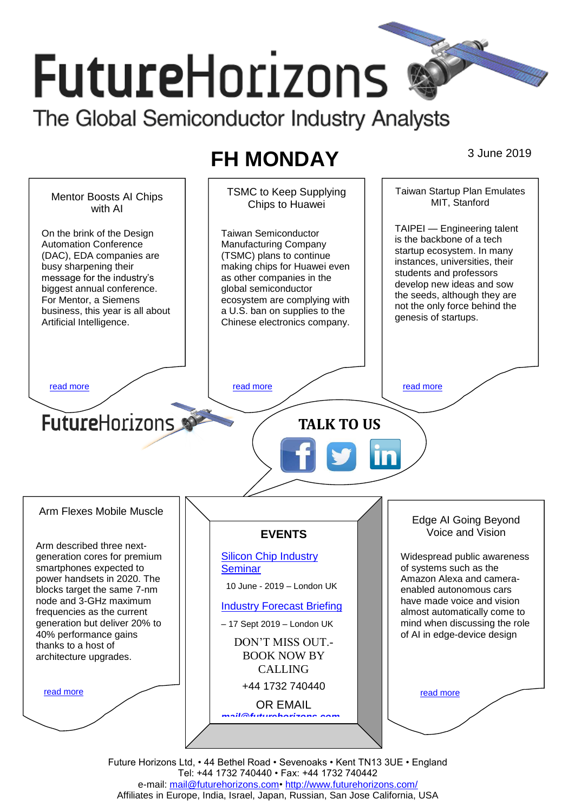# **FutureHorizons** The Global Semiconductor Industry Analysts

# **FH MONDAY** 3 June 2019

Taiwan Startup Plan Emulates TSMC to Keep Supplying Mentor Boosts AI Chips MIT, Stanford Chips to Huawei with AI TAIPEI — Engineering talent On the brink of the Design Taiwan Semiconductor is the backbone of a tech Automation Conference Manufacturing Company startup ecosystem. In many (DAC), EDA companies are (TSMC) plans to continue instances, universities, their busy sharpening their making chips for Huawei even students and professors message for the industry's as other companies in the develop new ideas and sow biggest annual conference. global semiconductor the seeds, although they are For Mentor, a Siemens ecosystem are complying with not the only force behind the business, this year is all about a U.S. ban on supplies to the genesis of startups. Artificial Intelligence. Chinese electronics company. [read more](#page-1-1) that the second contract the second contract of the read more that the read more that the read more **Future**Horizons **TALK TO US** Arm Flexes Mobile Muscle Edge AI Going Beyond Voice and Vision **EVENTS** Arm described three next-[Silicon Chip Industry](http://www.futurehorizons.com/page/12/silicon-chip-training)  Widespread public awareness generation cores for premium of systems such as the smartphones expected to **[Seminar](http://www.futurehorizons.com/page/12/silicon-chip-training)** power handsets in 2020. The Amazon Alexa and camera- 10 June - 2019 – London UK blocks target the same 7-nm enabled autonomous cars node and 3-GHz maximum have made voice and vision [Industry Forecast Briefing](http://www.futurehorizons.com/page/13/Semiconductor-Market-Forecast-Seminar) frequencies as the current almost automatically come to generation but deliver 20% to mind when discussing the role – 17 Sept 2019 – London UK 40% performance gains of AI in edge-device design DON'T MISS OUT. thanks to a host of BOOK NOW BY architecture upgrades.CALLING +44 1732 740440 [read more](#page-1-3) [read more](#page-1-4) OR EMAIL *[mail@futurehorizons.com](mailto:mail@futurehorizons.com)*

> Future Horizons Ltd, • 44 Bethel Road • Sevenoaks • Kent TN13 3UE • England Tel: +44 1732 740440 • Fax: +44 1732 740442 e-mail: [mail@futurehorizons.com•](../FH%20Monday%20-%202017/mail@futurehorizons.com)<http://www.futurehorizons.com/> Affiliates in Europe, India, Israel, Japan, Russian, San Jose California, USA